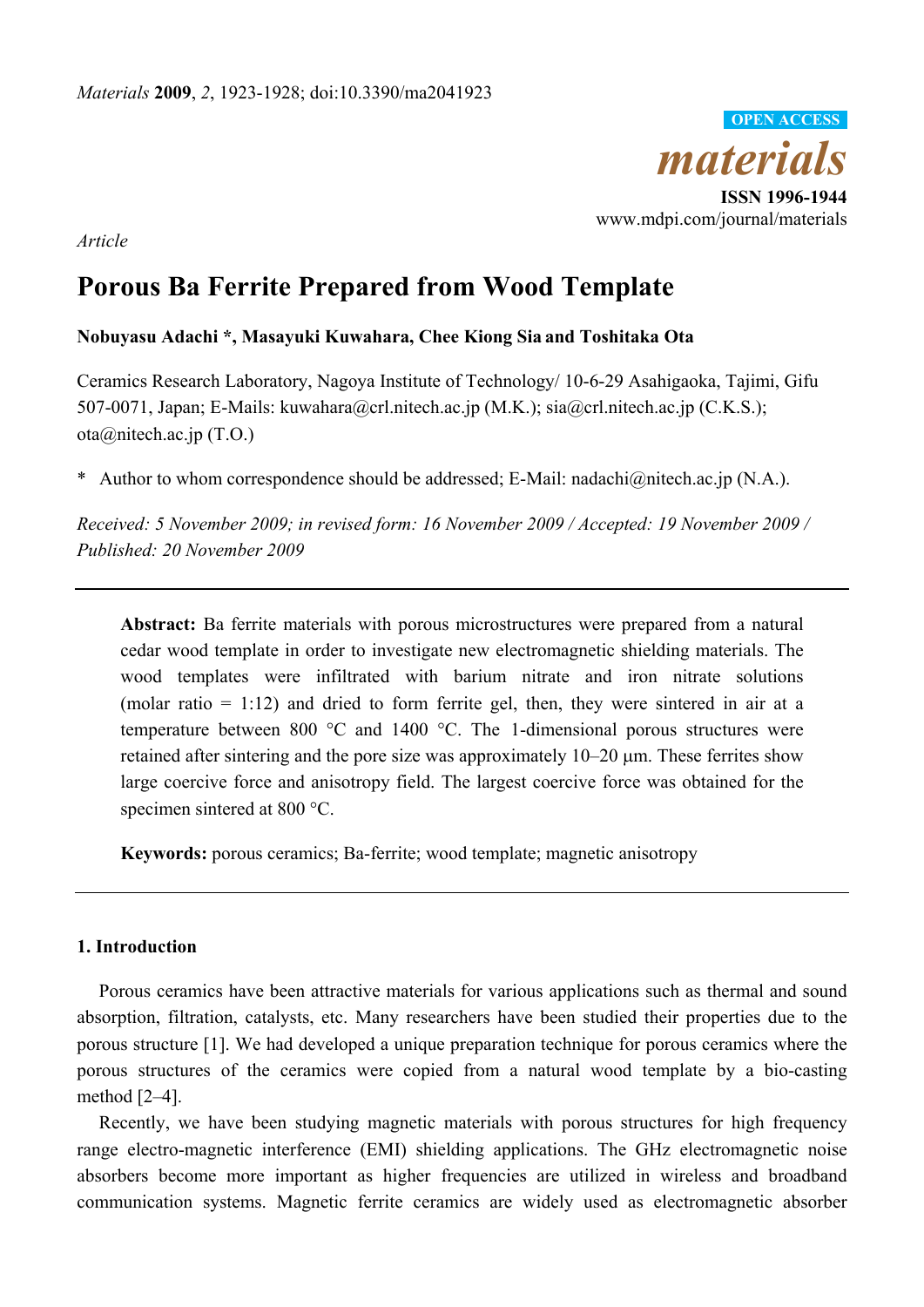

*Article* 

# **Porous Ba Ferrite Prepared from Wood Template**

## **Nobuyasu Adachi \*, Masayuki Kuwahara, Chee Kiong Sia and Toshitaka Ota**

Ceramics Research Laboratory, Nagoya Institute of Technology/ 10-6-29 Asahigaoka, Tajimi, Gifu 507-0071, Japan; E-Mails: kuwahara@crl.nitech.ac.jp (M.K.); sia@crl.nitech.ac.jp (C.K.S.); ota@nitech.ac.jp (T.O.)

\* Author to whom correspondence should be addressed; E-Mail: nadachi@nitech.ac.jp (N.A.).

*Received: 5 November 2009; in revised form: 16 November 2009 / Accepted: 19 November 2009 / Published: 20 November 2009* 

**Abstract:** Ba ferrite materials with porous microstructures were prepared from a natural cedar wood template in order to investigate new electromagnetic shielding materials. The wood templates were infiltrated with barium nitrate and iron nitrate solutions (molar ratio  $= 1:12$ ) and dried to form ferrite gel, then, they were sintered in air at a temperature between 800 °C and 1400 °C. The 1-dimensional porous structures were retained after sintering and the pore size was approximately 10–20 μm. These ferrites show large coercive force and anisotropy field. The largest coercive force was obtained for the specimen sintered at 800 °C.

**Keywords:** porous ceramics; Ba-ferrite; wood template; magnetic anisotropy

# **1. Introduction**

Porous ceramics have been attractive materials for various applications such as thermal and sound absorption, filtration, catalysts, etc. Many researchers have been studied their properties due to the porous structure [1]. We had developed a unique preparation technique for porous ceramics where the porous structures of the ceramics were copied from a natural wood template by a bio-casting method [2–4].

Recently, we have been studying magnetic materials with porous structures for high frequency range electro-magnetic interference (EMI) shielding applications. The GHz electromagnetic noise absorbers become more important as higher frequencies are utilized in wireless and broadband communication systems. Magnetic ferrite ceramics are widely used as electromagnetic absorber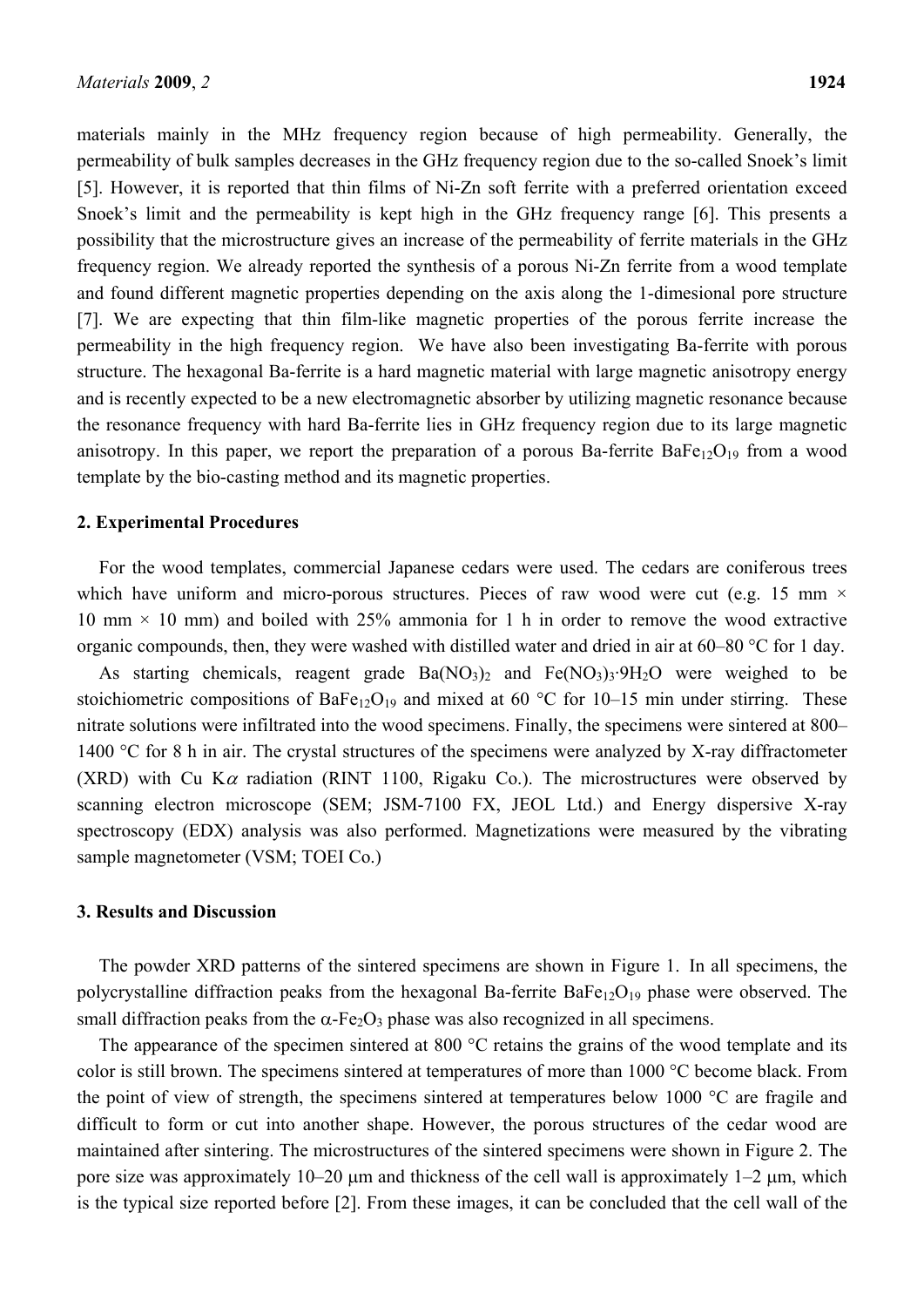materials mainly in the MHz frequency region because of high permeability. Generally, the permeability of bulk samples decreases in the GHz frequency region due to the so-called Snoek's limit [5]. However, it is reported that thin films of Ni-Zn soft ferrite with a preferred orientation exceed Snoek's limit and the permeability is kept high in the GHz frequency range [6]. This presents a possibility that the microstructure gives an increase of the permeability of ferrite materials in the GHz frequency region. We already reported the synthesis of a porous Ni-Zn ferrite from a wood template and found different magnetic properties depending on the axis along the 1-dimesional pore structure [7]. We are expecting that thin film-like magnetic properties of the porous ferrite increase the permeability in the high frequency region. We have also been investigating Ba-ferrite with porous structure. The hexagonal Ba-ferrite is a hard magnetic material with large magnetic anisotropy energy and is recently expected to be a new electromagnetic absorber by utilizing magnetic resonance because the resonance frequency with hard Ba-ferrite lies in GHz frequency region due to its large magnetic anisotropy. In this paper, we report the preparation of a porous Ba-ferrite  $BaFe_{12}O_{19}$  from a wood template by the bio-casting method and its magnetic properties.

## **2. Experimental Procedures**

For the wood templates, commercial Japanese cedars were used. The cedars are coniferous trees which have uniform and micro-porous structures. Pieces of raw wood were cut (e.g. 15 mm  $\times$ 10 mm  $\times$  10 mm) and boiled with 25% ammonia for 1 h in order to remove the wood extractive organic compounds, then, they were washed with distilled water and dried in air at 60–80 °C for 1 day.

As starting chemicals, reagent grade  $Ba(NO_3)$  and  $Fe(NO_3)$ <sup>3</sup>;  $9H_2O$  were weighed to be stoichiometric compositions of BaFe<sub>12</sub>O<sub>19</sub> and mixed at 60 °C for 10–15 min under stirring. These nitrate solutions were infiltrated into the wood specimens. Finally, the specimens were sintered at 800– 1400 °C for 8 h in air. The crystal structures of the specimens were analyzed by X-ray diffractometer (XRD) with Cu K $\alpha$  radiation (RINT 1100, Rigaku Co.). The microstructures were observed by scanning electron microscope (SEM; JSM-7100 FX, JEOL Ltd.) and Energy dispersive X-ray spectroscopy (EDX) analysis was also performed. Magnetizations were measured by the vibrating sample magnetometer (VSM; TOEI Co.)

## **3. Results and Discussion**

The powder XRD patterns of the sintered specimens are shown in Figure 1. In all specimens, the polycrystalline diffraction peaks from the hexagonal Ba-ferrite  $BaFe_{12}O_{19}$  phase were observed. The small diffraction peaks from the  $\alpha$ -Fe<sub>2</sub>O<sub>3</sub> phase was also recognized in all specimens.

The appearance of the specimen sintered at 800 °C retains the grains of the wood template and its color is still brown. The specimens sintered at temperatures of more than 1000 °C become black. From the point of view of strength, the specimens sintered at temperatures below 1000 °C are fragile and difficult to form or cut into another shape. However, the porous structures of the cedar wood are maintained after sintering. The microstructures of the sintered specimens were shown in Figure 2. The pore size was approximately 10–20 μm and thickness of the cell wall is approximately 1–2 μm, which is the typical size reported before [2]. From these images, it can be concluded that the cell wall of the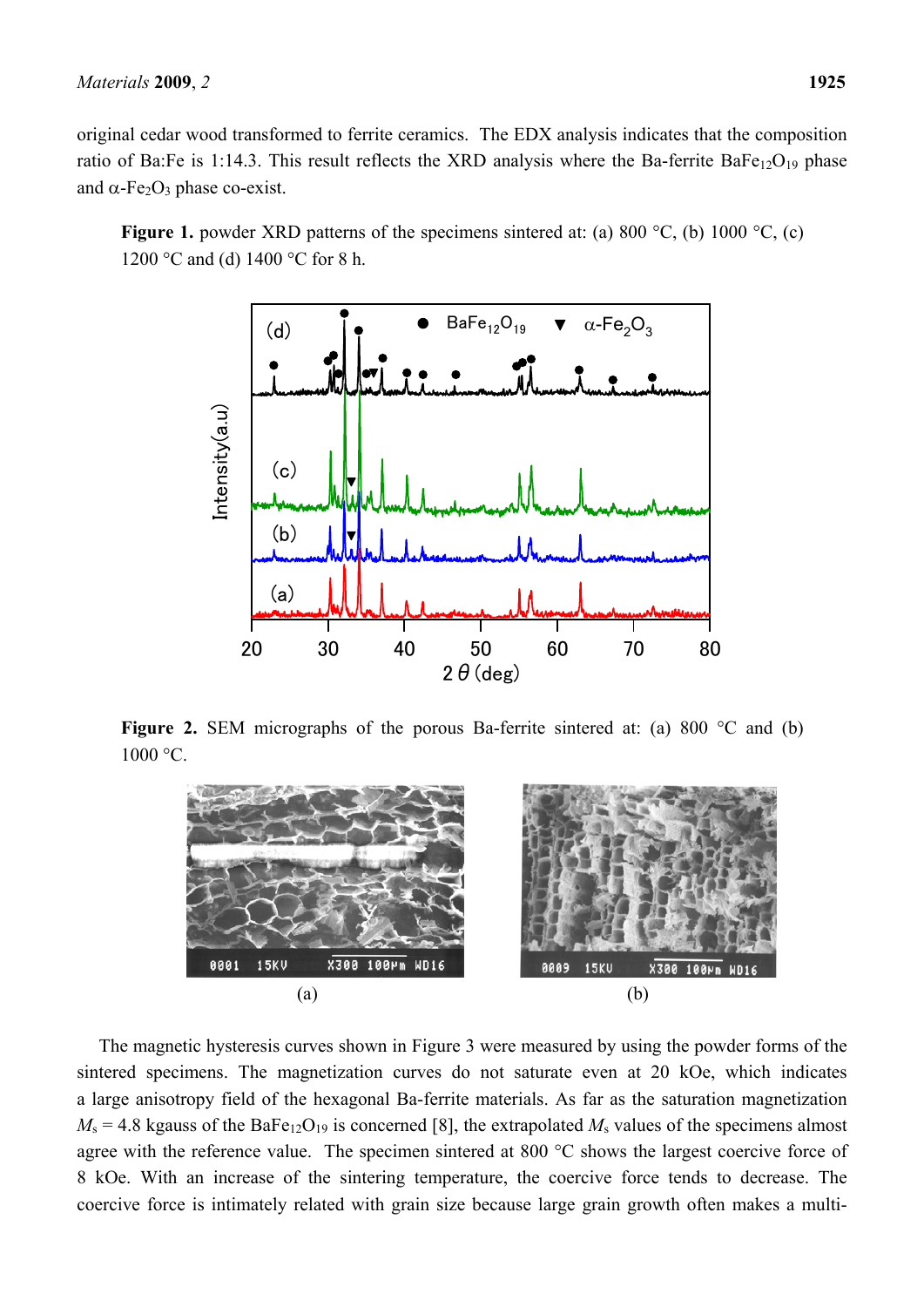original cedar wood transformed to ferrite ceramics. The EDX analysis indicates that the composition ratio of Ba:Fe is 1:14.3. This result reflects the XRD analysis where the Ba-ferrite BaFe<sub>12</sub>O<sub>19</sub> phase and  $\alpha$ -Fe<sub>2</sub>O<sub>3</sub> phase co-exist.

**Figure 1.** powder XRD patterns of the specimens sintered at: (a) 800 °C, (b) 1000 °C, (c) 1200 °C and (d) 1400 °C for 8 h.



**Figure 2.** SEM micrographs of the porous Ba-ferrite sintered at: (a) 800 °C and (b)  $1000 °C$ .



The magnetic hysteresis curves shown in Figure 3 were measured by using the powder forms of the sintered specimens. The magnetization curves do not saturate even at 20 kOe, which indicates a large anisotropy field of the hexagonal Ba-ferrite materials. As far as the saturation magnetization  $M_s = 4.8$  kgauss of the BaFe<sub>12</sub>O<sub>19</sub> is concerned [8], the extrapolated  $M_s$  values of the specimens almost agree with the reference value. The specimen sintered at 800 °C shows the largest coercive force of 8 kOe. With an increase of the sintering temperature, the coercive force tends to decrease. The coercive force is intimately related with grain size because large grain growth often makes a multi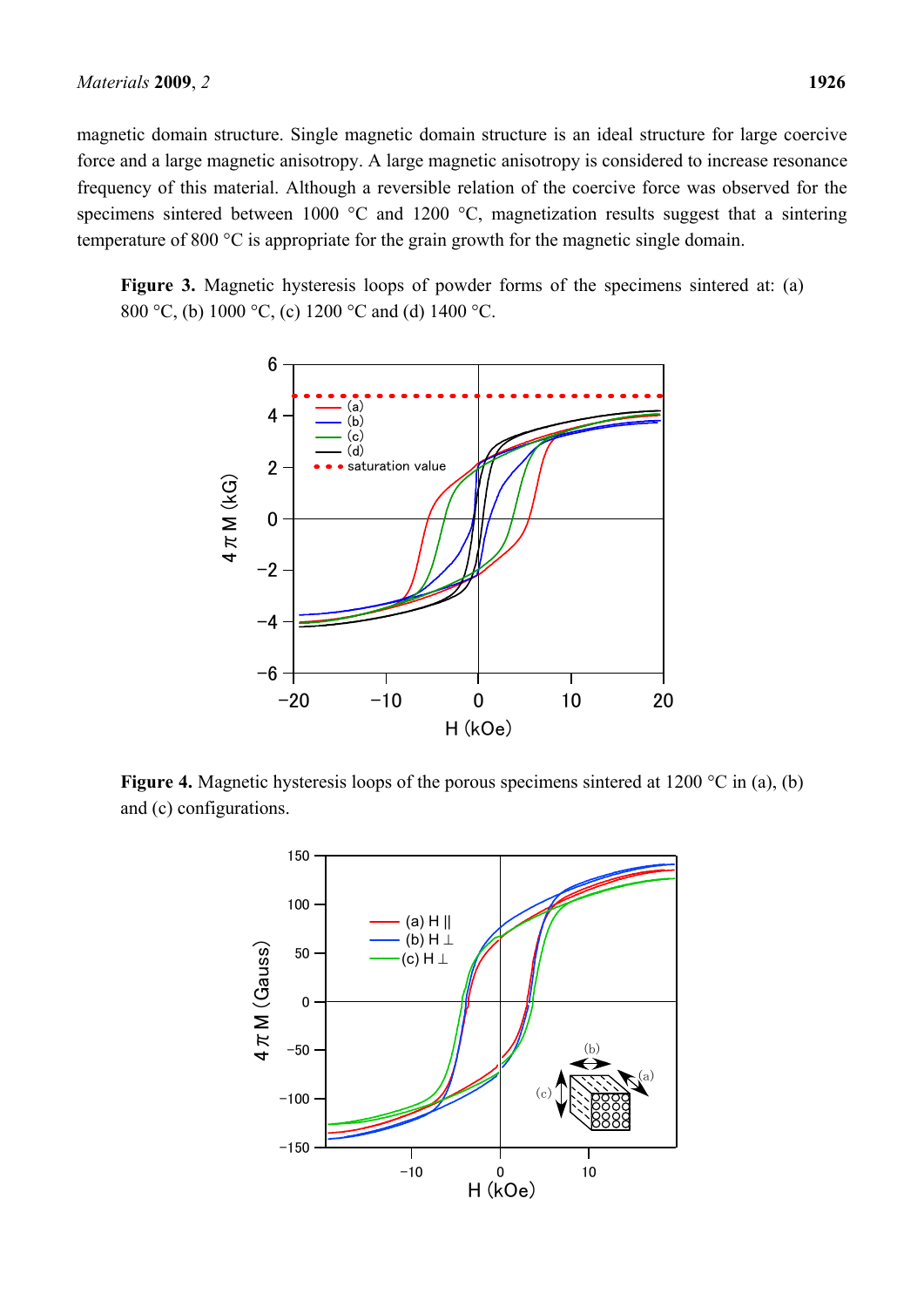magnetic domain structure. Single magnetic domain structure is an ideal structure for large coercive

force and a large magnetic anisotropy. A large magnetic anisotropy is considered to increase resonance frequency of this material. Although a reversible relation of the coercive force was observed for the specimens sintered between 1000 °C and 1200 °C, magnetization results suggest that a sintering temperature of 800 °C is appropriate for the grain growth for the magnetic single domain.

Figure 3. Magnetic hysteresis loops of powder forms of the specimens sintered at: (a) 800 °C, (b) 1000 °C, (c) 1200 °C and (d) 1400 °C.



**Figure 4.** Magnetic hysteresis loops of the porous specimens sintered at 1200 °C in (a), (b) and (c) configurations.

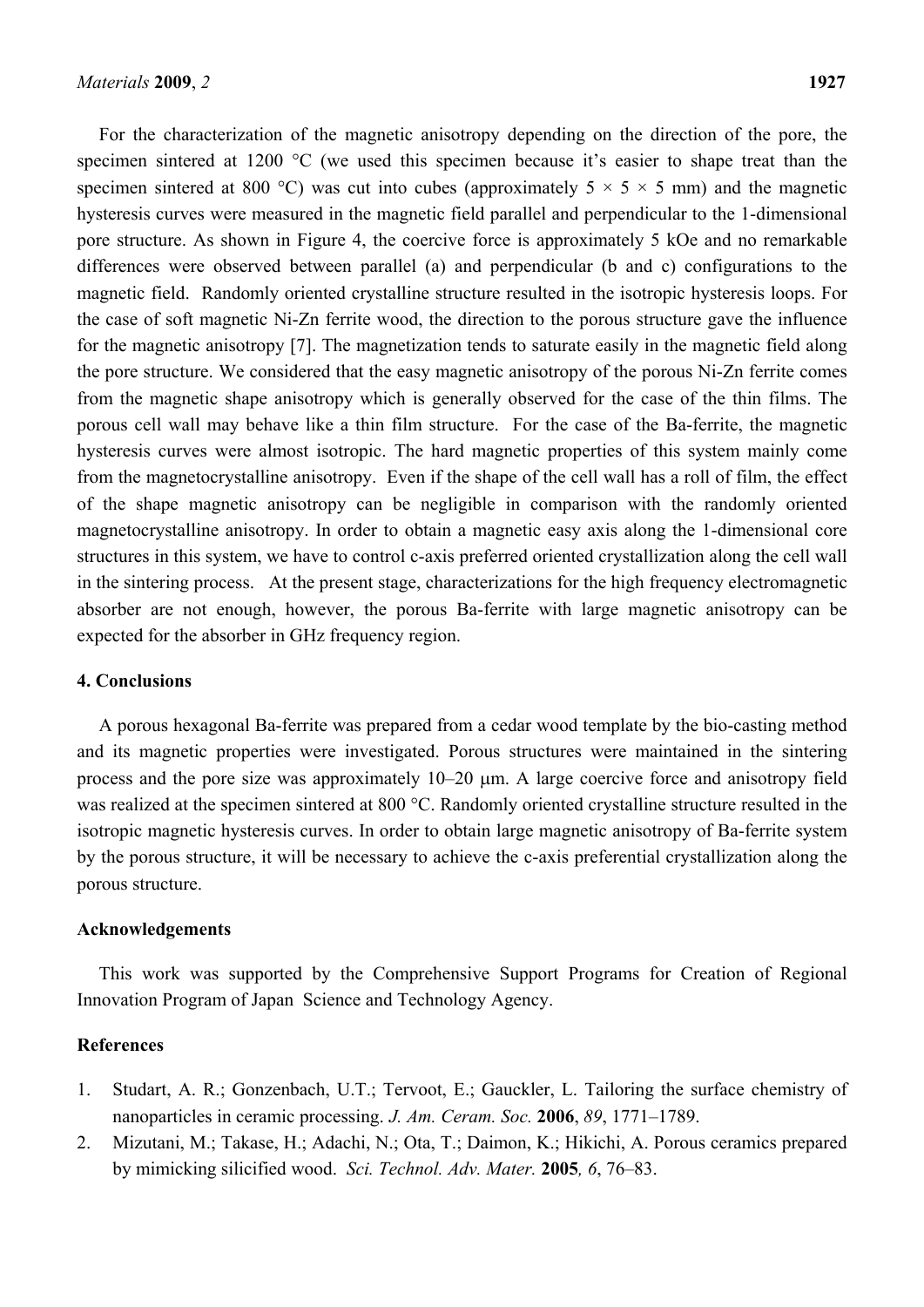For the characterization of the magnetic anisotropy depending on the direction of the pore, the specimen sintered at 1200 °C (we used this specimen because it's easier to shape treat than the specimen sintered at 800 °C) was cut into cubes (approximately  $5 \times 5 \times 5$  mm) and the magnetic hysteresis curves were measured in the magnetic field parallel and perpendicular to the 1-dimensional pore structure. As shown in Figure 4, the coercive force is approximately 5 kOe and no remarkable differences were observed between parallel (a) and perpendicular (b and c) configurations to the magnetic field. Randomly oriented crystalline structure resulted in the isotropic hysteresis loops. For the case of soft magnetic Ni-Zn ferrite wood, the direction to the porous structure gave the influence for the magnetic anisotropy [7]. The magnetization tends to saturate easily in the magnetic field along the pore structure. We considered that the easy magnetic anisotropy of the porous Ni-Zn ferrite comes from the magnetic shape anisotropy which is generally observed for the case of the thin films. The porous cell wall may behave like a thin film structure. For the case of the Ba-ferrite, the magnetic hysteresis curves were almost isotropic. The hard magnetic properties of this system mainly come from the magnetocrystalline anisotropy. Even if the shape of the cell wall has a roll of film, the effect of the shape magnetic anisotropy can be negligible in comparison with the randomly oriented magnetocrystalline anisotropy. In order to obtain a magnetic easy axis along the 1-dimensional core structures in this system, we have to control c-axis preferred oriented crystallization along the cell wall in the sintering process. At the present stage, characterizations for the high frequency electromagnetic absorber are not enough, however, the porous Ba-ferrite with large magnetic anisotropy can be expected for the absorber in GHz frequency region.

## **4. Conclusions**

A porous hexagonal Ba-ferrite was prepared from a cedar wood template by the bio-casting method and its magnetic properties were investigated. Porous structures were maintained in the sintering process and the pore size was approximately 10–20 μm. A large coercive force and anisotropy field was realized at the specimen sintered at 800 °C. Randomly oriented crystalline structure resulted in the isotropic magnetic hysteresis curves. In order to obtain large magnetic anisotropy of Ba-ferrite system by the porous structure, it will be necessary to achieve the c-axis preferential crystallization along the porous structure.

### **Acknowledgements**

This work was supported by the Comprehensive Support Programs for Creation of Regional Innovation Program of Japan Science and Technology Agency.

# **References**

- 1. Studart, A. R.; Gonzenbach, U.T.; Tervoot, E.; Gauckler, L. Tailoring the surface chemistry of nanoparticles in ceramic processing. *J. Am. Ceram. Soc.* **2006**, *89*, 1771–1789.
- 2. Mizutani, M.; Takase, H.; Adachi, N.; Ota, T.; Daimon, K.; Hikichi, A. Porous ceramics prepared by mimicking silicified wood. *Sci. Technol. Adv. Mater.* **2005***, 6*, 76–83.